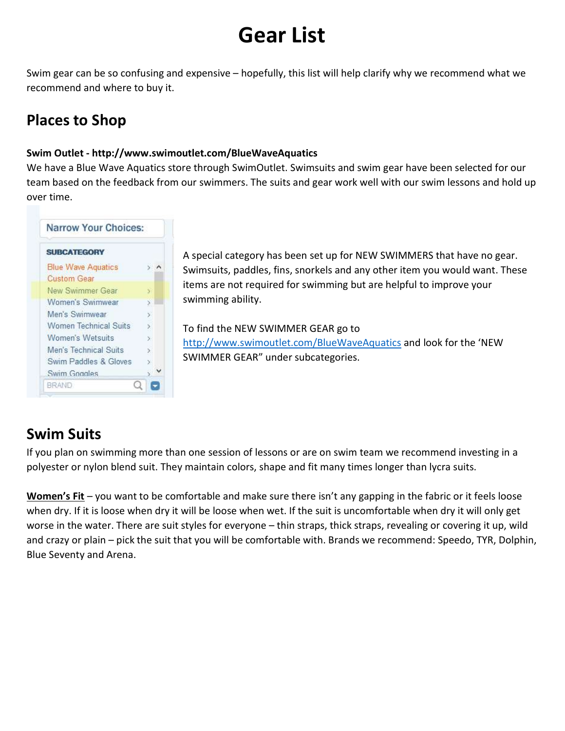# Gear List

Swim gear can be so confusing and expensive – hopefully, this list will help clarify why we recommend what we recommend and where to buy it.

### Places to Shop

#### Swim Outlet - http://www.swimoutlet.com/BlueWaveAquatics

We have a Blue Wave Aquatics store through SwimOutlet. Swimsuits and swim gear have been selected for our team based on the feedback from our swimmers. The suits and gear work well with our swim lessons and hold up over time.

| Σ<br>×<br>S.<br>ÿ.<br>b.<br>$\mathbf{y}$ | <b>SUBCATEGORY</b>        |  |
|------------------------------------------|---------------------------|--|
|                                          | <b>Blue Wave Aquatics</b> |  |
|                                          | <b>Custom Gear</b>        |  |
|                                          | New Swimmer Gear          |  |
|                                          | Women's Swimwear          |  |
|                                          | Men's Swimwear            |  |
|                                          | Women Technical Suits     |  |
|                                          | Women's Wetsuits          |  |
|                                          | Men's Technical Suits     |  |
|                                          | Swim Paddles & Gloves     |  |
|                                          | Swim Goggles              |  |

A special category has been set up for NEW SWIMMERS that have no gear. Swimsuits, paddles, fins, snorkels and any other item you would want. These items are not required for swimming but are helpful to improve your swimming ability.

To find the NEW SWIMMER GEAR go to http://www.swimoutlet.com/BlueWaveAquatics and look for the 'NEW SWIMMER GEAR" under subcategories.

## Swim Suits

If you plan on swimming more than one session of lessons or are on swim team we recommend investing in a polyester or nylon blend suit. They maintain colors, shape and fit many times longer than lycra suits.

Women's Fit – you want to be comfortable and make sure there isn't any gapping in the fabric or it feels loose when dry. If it is loose when dry it will be loose when wet. If the suit is uncomfortable when dry it will only get worse in the water. There are suit styles for everyone – thin straps, thick straps, revealing or covering it up, wild and crazy or plain – pick the suit that you will be comfortable with. Brands we recommend: Speedo, TYR, Dolphin, Blue Seventy and Arena.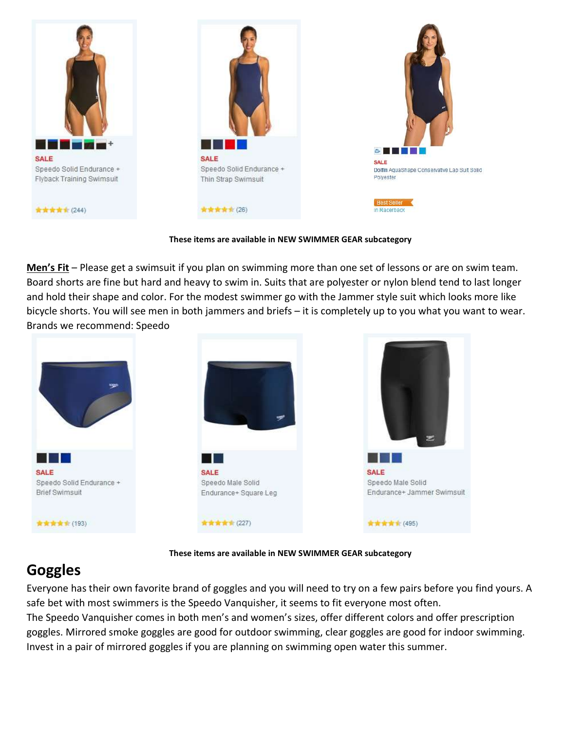

#### These items are available in NEW SWIMMER GEAR subcategory

Men's Fit – Please get a swimsuit if you plan on swimming more than one set of lessons or are on swim team. Board shorts are fine but hard and heavy to swim in. Suits that are polyester or nylon blend tend to last longer and hold their shape and color. For the modest swimmer go with the Jammer style suit which looks more like bicycle shorts. You will see men in both jammers and briefs – it is completely up to you what you want to wear. Brands we recommend: Speedo



#### These items are available in NEW SWIMMER GEAR subcategory

### **Goggles**

Everyone has their own favorite brand of goggles and you will need to try on a few pairs before you find yours. A safe bet with most swimmers is the Speedo Vanquisher, it seems to fit everyone most often.

The Speedo Vanquisher comes in both men's and women's sizes, offer different colors and offer prescription goggles. Mirrored smoke goggles are good for outdoor swimming, clear goggles are good for indoor swimming. Invest in a pair of mirrored goggles if you are planning on swimming open water this summer.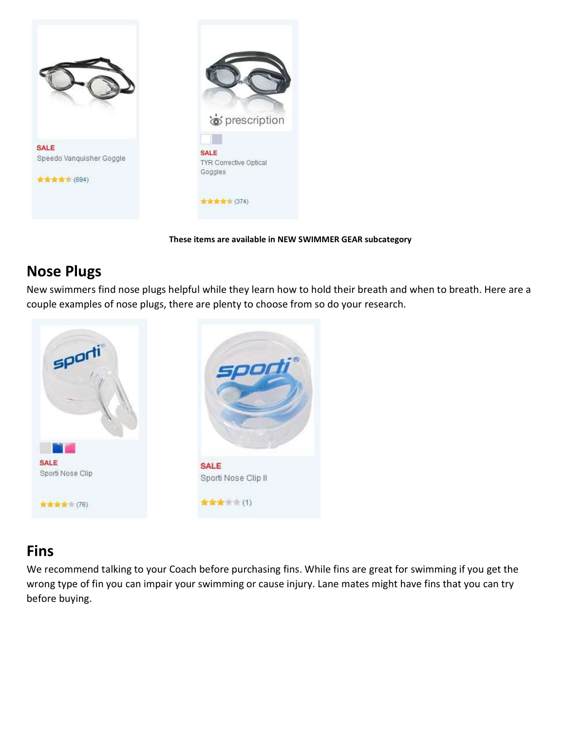



These items are available in NEW SWIMMER GEAR subcategory

#### Nose Plugs

New swimmers find nose plugs helpful while they learn how to hold their breath and when to breath. Here are a couple examples of nose plugs, there are plenty to choose from so do your research.



#### Fins

We recommend talking to your Coach before purchasing fins. While fins are great for swimming if you get the wrong type of fin you can impair your swimming or cause injury. Lane mates might have fins that you can try before buying.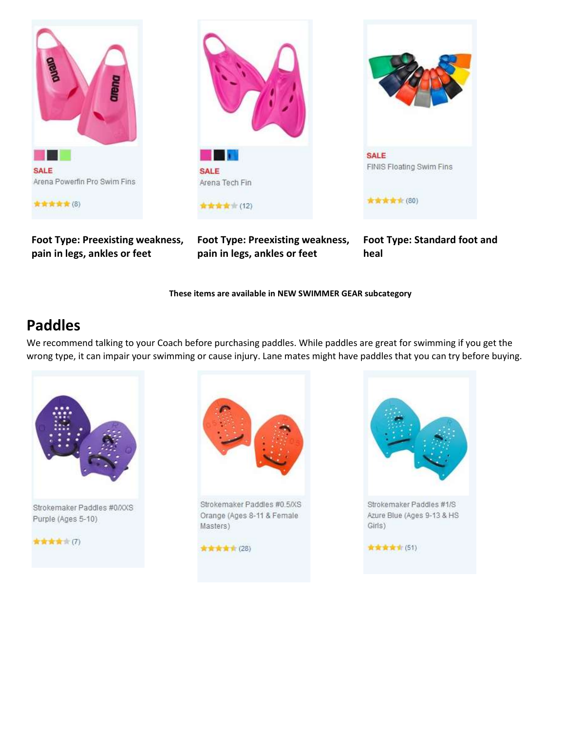

Foot Type: Preexisting weakness, pain in legs, ankles or feet



Foot Type: Preexisting weakness, pain in legs, ankles or feet

Foot Type: Standard foot and heal

These items are available in NEW SWIMMER GEAR subcategory

#### Paddles

We recommend talking to your Coach before purchasing paddles. While paddles are great for swimming if you get the wrong type, it can impair your swimming or cause injury. Lane mates might have paddles that you can try before buying.



Strokemaker Paddles #0/XXS Purple (Ages 5-10)





Strokemaker Paddles #0.5/XS Orange (Ages 8-11 & Female Masters)





Azure Blue (Ages 9-13 & HS Girls)

★★★★★ (51)